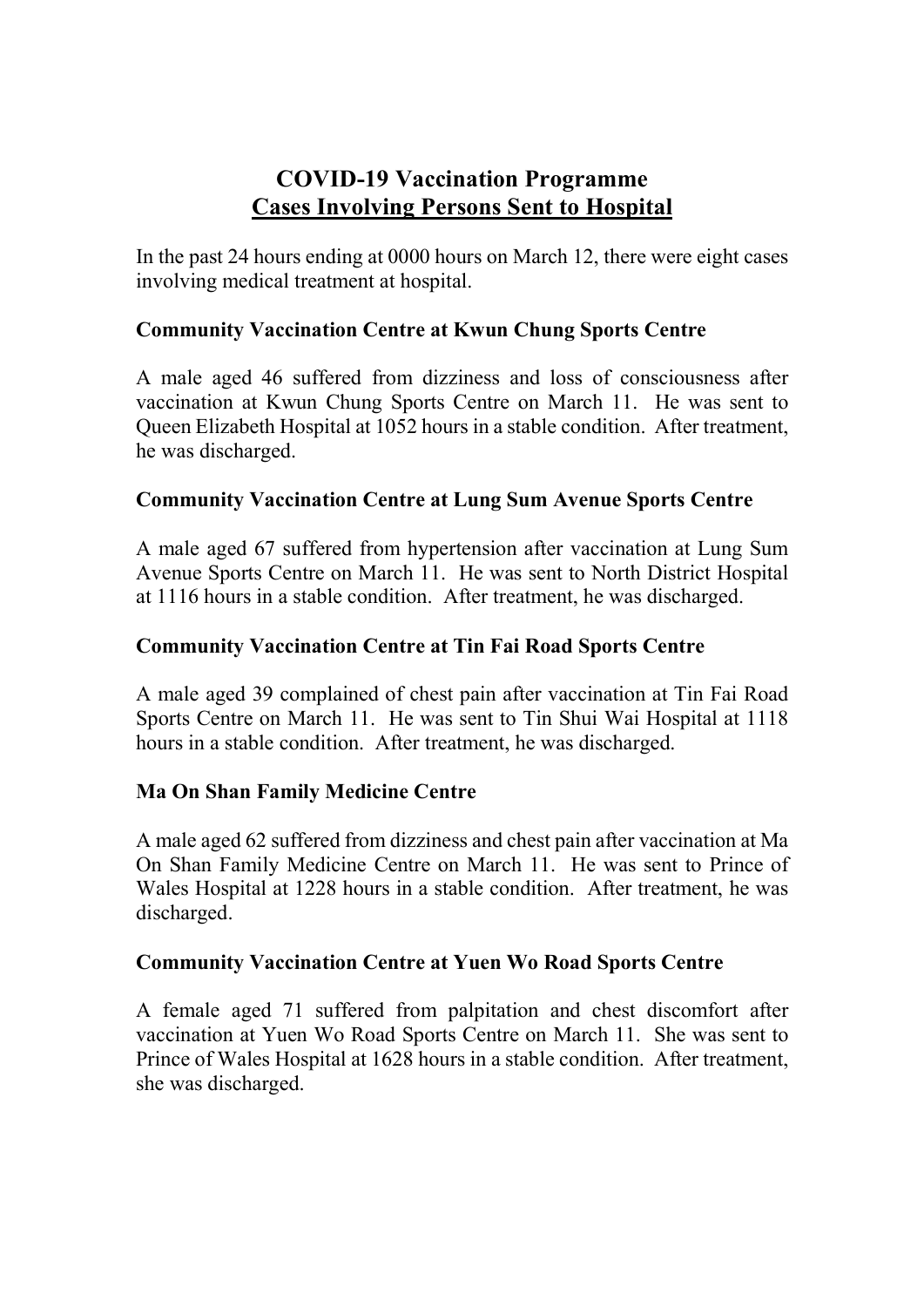# COVID-19 Vaccination Programme Cases Involving Persons Sent to Hospital

In the past 24 hours ending at 0000 hours on March 12, there were eight cases involving medical treatment at hospital.

## Community Vaccination Centre at Kwun Chung Sports Centre

A male aged 46 suffered from dizziness and loss of consciousness after vaccination at Kwun Chung Sports Centre on March 11. He was sent to Queen Elizabeth Hospital at 1052 hours in a stable condition. After treatment, he was discharged.

## Community Vaccination Centre at Lung Sum Avenue Sports Centre

A male aged 67 suffered from hypertension after vaccination at Lung Sum Avenue Sports Centre on March 11. He was sent to North District Hospital at 1116 hours in a stable condition. After treatment, he was discharged.

## Community Vaccination Centre at Tin Fai Road Sports Centre

A male aged 39 complained of chest pain after vaccination at Tin Fai Road Sports Centre on March 11. He was sent to Tin Shui Wai Hospital at 1118 hours in a stable condition. After treatment, he was discharged.

## Ma On Shan Family Medicine Centre

A male aged 62 suffered from dizziness and chest pain after vaccination at Ma On Shan Family Medicine Centre on March 11. He was sent to Prince of Wales Hospital at 1228 hours in a stable condition. After treatment, he was discharged.

## Community Vaccination Centre at Yuen Wo Road Sports Centre

A female aged 71 suffered from palpitation and chest discomfort after vaccination at Yuen Wo Road Sports Centre on March 11. She was sent to Prince of Wales Hospital at 1628 hours in a stable condition. After treatment, she was discharged.